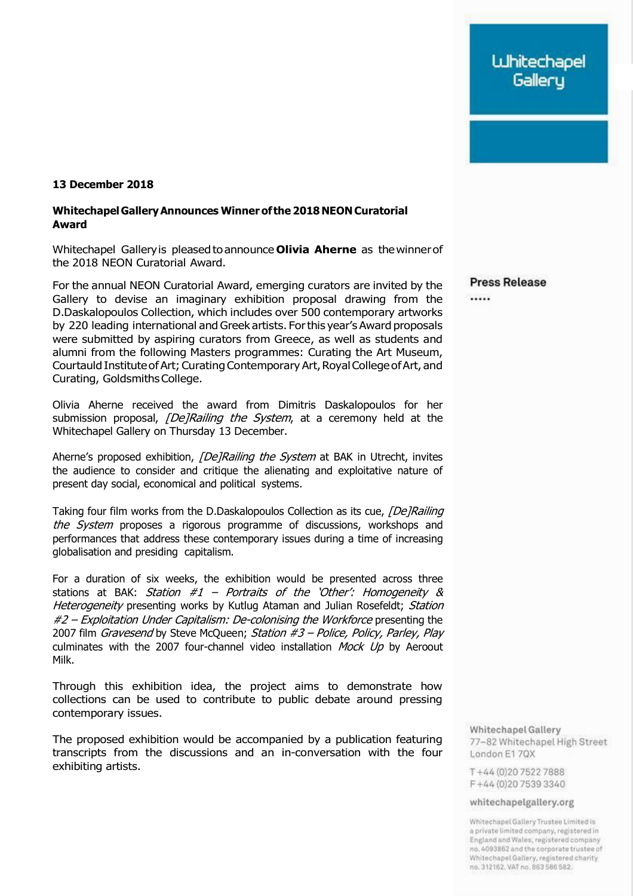## **13 December 2018**

## **Whitechapel GalleryAnnounces Winner of the 2018NEON Curatorial Award**

Whitechapel Galleryis pleased toannounce **Olivia Aherne** as thewinnerof the 2018 NEON Curatorial Award.

For the annual NEON Curatorial Award, emerging curators are invited by the Gallery to devise an imaginary exhibition proposal drawing from the D.Daskalopoulos Collection, which includes over 500 contemporary artworks by 220 leading international andGreek artists. Forthis year's Award proposals were submitted by aspiring curators from Greece, as well as students and alumni from the following Masters programmes: Curating the Art Museum, Courtauld Institute of Art; Curating Contemporary Art, Royal College of Art, and Curating, GoldsmithsCollege.

Olivia Aherne received the award from Dimitris Daskalopoulos for her submission proposal, *[De]Railing the System*, at a ceremony held at the Whitechapel Gallery on Thursday 13 December.

Aherne's proposed exhibition, [De]Railing the System at BAK in Utrecht, invites the audience to consider and critique the alienating and exploitative nature of present day social, economical and political systems.

Taking four film works from the D.Daskalopoulos Collection as its cue, [De]Railing the System proposes a rigorous programme of discussions, workshops and performances that address these contemporary issues during a time of increasing globalisation and presiding capitalism.

For a duration of six weeks, the exhibition would be presented across three stations at BAK: Station  $#1$  – Portraits of the 'Other': Homogeneity & Heterogeneity presenting works by Kutlug Ataman and Julian Rosefeldt; Station #2 – Exploitation Under Capitalism: De-colonising the Workforce presenting the 2007 film Gravesend by Steve McQueen; Station #3 - Police, Policy, Parley, Play culminates with the 2007 four-channel video installation Mock Up by Aeroout Milk.

Through this exhibition idea, the project aims to demonstrate how collections can be used to contribute to public debate around pressing contemporary issues.

The proposed exhibition would be accompanied by a publication featuring transcripts from the discussions and an in-conversation with the four exhibiting artists.

**Press Release** 

.....

Whitechapel Gallery 77-82 Whitechapel High Street London E17QX

T+44 (0) 20 7522 7888 F+44 (0) 20 7539 3340

whitechapelgallery.org

Whitechapel Gallery Trustee Limited is a private limited company, registered in England and Wales, registered company no. 4093862 and the corporate trustee of Whitechapel Gallery, registered charity no. 312162. VAT no. 863 586 582.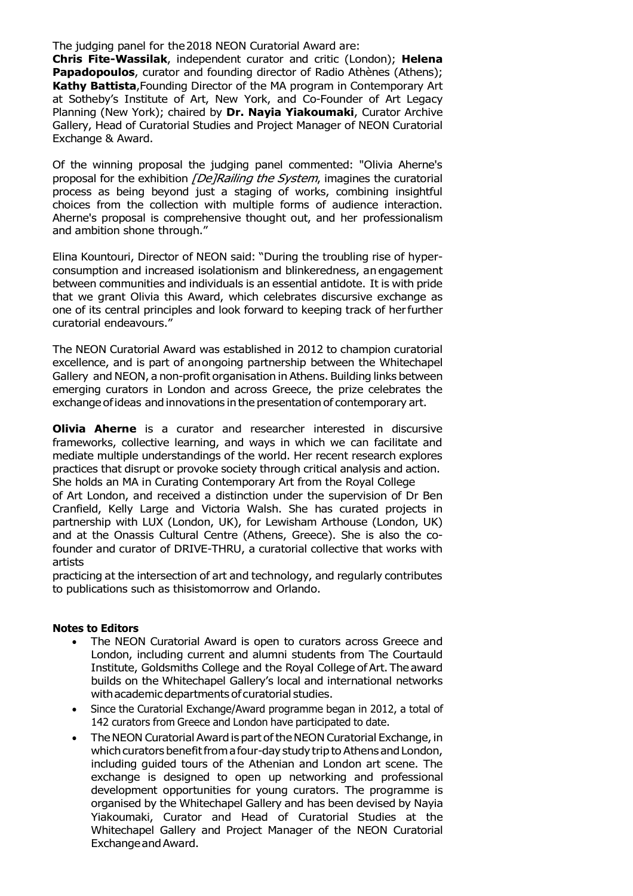The judging panel for the2018 NEON Curatorial Award are:

**Chris Fite-Wassilak**, independent curator and critic (London); **Helena Papadopoulos**, curator and founding director of Radio Athènes (Athens); **Kathy Battista**,Founding Director of the MA program in Contemporary Art at Sotheby's Institute of Art, New York, and Co-Founder of Art Legacy Planning (New York); chaired by **Dr. Nayia Yiakoumaki**, Curator Archive Gallery, Head of Curatorial Studies and Project Manager of NEON Curatorial Exchange & Award.

Of the winning proposal the judging panel commented: "Olivia Aherne's proposal for the exhibition [De]Railing the System, imagines the curatorial process as being beyond just a staging of works, combining insightful choices from the collection with multiple forms of audience interaction. Aherne's proposal is comprehensive thought out, and her professionalism and ambition shone through."

Elina Kountouri, Director of NEON said: "During the troubling rise of hyperconsumption and increased isolationism and blinkeredness, an engagement between communities and individuals is an essential antidote. It is with pride that we grant Olivia this Award, which celebrates discursive exchange as one of its central principles and look forward to keeping track of herfurther curatorial endeavours."

The NEON Curatorial Award was established in 2012 to champion curatorial excellence, and is part of anongoing partnership between the Whitechapel Gallery and NEON, a non-profit organisation in Athens. Building links between emerging curators in London and across Greece, the prize celebrates the exchange ofideas and innovations in the presentation of contemporary art.

**Olivia Aherne** is a curator and researcher interested in discursive frameworks, collective learning, and ways in which we can facilitate and mediate multiple understandings of the world. Her recent research explores practices that disrupt or provoke society through critical analysis and action. She holds an MA in Curating Contemporary Art from the Royal College

of Art London, and received a distinction under the supervision of Dr Ben Cranfield, Kelly Large and Victoria Walsh. She has curated projects in partnership with LUX (London, UK), for Lewisham Arthouse (London, UK) and at the Onassis Cultural Centre (Athens, Greece). She is also the cofounder and curator of DRIVE-THRU, a curatorial collective that works with artists

practicing at the intersection of art and technology, and regularly contributes to publications such as thisistomorrow and Orlando.

## **Notes to Editors**

- The NEON Curatorial Award is open to curators across Greece and London, including current and alumni students from The Courtauld Institute, Goldsmiths College and the Royal College of Art. The award builds on the Whitechapel Gallery's local and international networks with academic departments of curatorial studies.
- Since the Curatorial Exchange/Award programme began in 2012, a total of 142 curators from Greece and London have participated to date.
- The NEON Curatorial Award is part of the NEON Curatorial Exchange, in which curators benefit from a four-day study trip to Athens and London, including guided tours of the Athenian and London art scene. The exchange is designed to open up networking and professional development opportunities for young curators. The programme is organised by the Whitechapel Gallery and has been devised by Nayia Yiakoumaki, Curator and Head of Curatorial Studies at the Whitechapel Gallery and Project Manager of the NEON Curatorial ExchangeandAward.